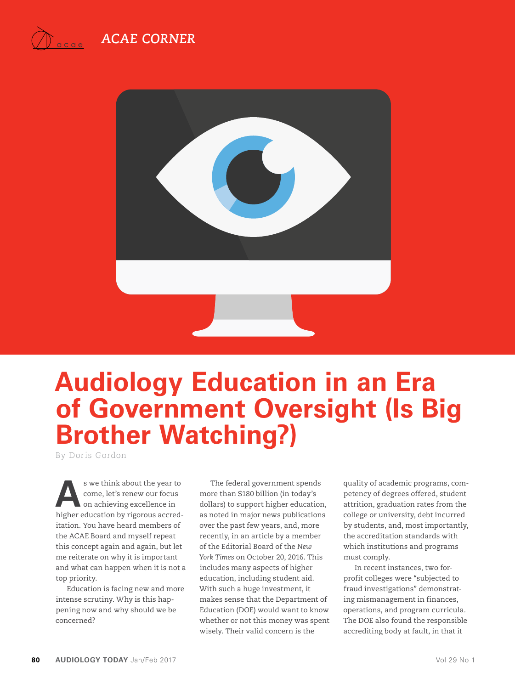



# **Audiology Education in an Era of Government Oversight (Is Big Brother Watching?)**

By Doris Gordon

**A**s we think about the year to come, let's renew our focus on achieving excellence in higher education by rigorous accreditation. You have heard members of the ACAE Board and myself repeat this concept again and again, but let me reiterate on why it is important and what can happen when it is not a top priority.

Education is facing new and more intense scrutiny. Why is this happening now and why should we be concerned?

The federal government spends more than \$180 billion (in today's dollars) to support higher education, as noted in major news publications over the past few years, and, more recently, in an article by a member of the Editorial Board of the *New York Times* on October 20, 2016. This includes many aspects of higher education, including student aid. With such a huge investment, it makes sense that the Department of Education (DOE) would want to know whether or not this money was spent wisely. Their valid concern is the

quality of academic programs, competency of degrees offered, student attrition, graduation rates from the college or university, debt incurred by students, and, most importantly, the accreditation standards with which institutions and programs must comply.

In recent instances, two forprofit colleges were "subjected to fraud investigations" demonstrating mismanagement in finances, operations, and program curricula. The DOE also found the responsible accrediting body at fault, in that it